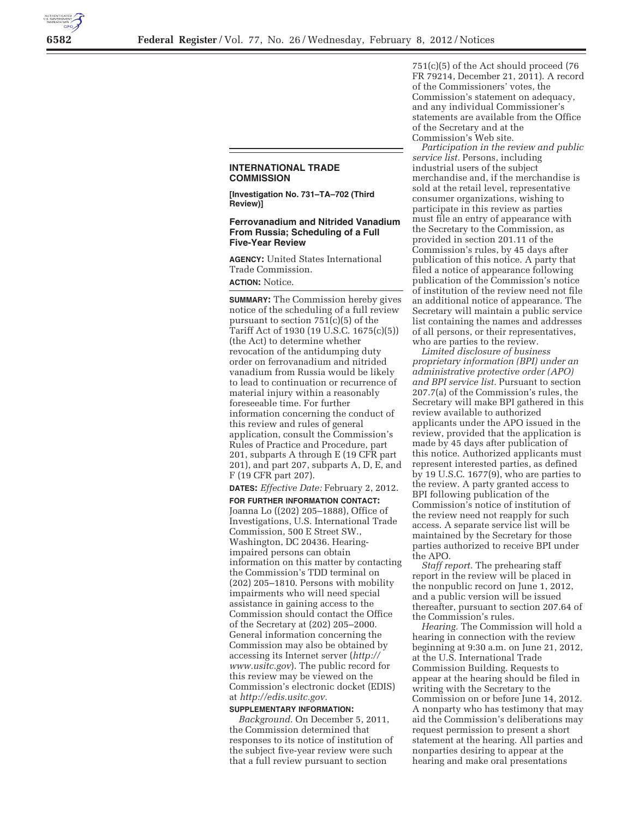

## **INTERNATIONAL TRADE COMMISSION**

**[Investigation No. 731–TA–702 (Third Review)]** 

## **Ferrovanadium and Nitrided Vanadium From Russia; Scheduling of a Full Five-Year Review**

**AGENCY:** United States International Trade Commission.

**ACTION:** Notice.

**SUMMARY:** The Commission hereby gives notice of the scheduling of a full review pursuant to section 751(c)(5) of the Tariff Act of 1930 (19 U.S.C. 1675(c)(5)) (the Act) to determine whether revocation of the antidumping duty order on ferrovanadium and nitrided vanadium from Russia would be likely to lead to continuation or recurrence of material injury within a reasonably foreseeable time. For further information concerning the conduct of this review and rules of general application, consult the Commission's Rules of Practice and Procedure, part 201, subparts A through E (19 CFR part 201), and part 207, subparts A, D, E, and F (19 CFR part 207).

**DATES:** *Effective Date:* February 2, 2012.

**FOR FURTHER INFORMATION CONTACT:**  Joanna Lo ((202) 205–1888), Office of Investigations, U.S. International Trade Commission, 500 E Street SW., Washington, DC 20436. Hearingimpaired persons can obtain information on this matter by contacting the Commission's TDD terminal on (202) 205–1810. Persons with mobility impairments who will need special assistance in gaining access to the Commission should contact the Office of the Secretary at (202) 205–2000. General information concerning the Commission may also be obtained by accessing its Internet server (*http:// www.usitc.gov*). The public record for this review may be viewed on the Commission's electronic docket (EDIS) at *http://edis.usitc.gov.* 

## **SUPPLEMENTARY INFORMATION:**

*Background.* On December 5, 2011, the Commission determined that responses to its notice of institution of the subject five-year review were such that a full review pursuant to section

751(c)(5) of the Act should proceed (76 FR 79214, December 21, 2011). A record of the Commissioners' votes, the Commission's statement on adequacy, and any individual Commissioner's statements are available from the Office of the Secretary and at the Commission's Web site.

*Participation in the review and public service list.* Persons, including industrial users of the subject merchandise and, if the merchandise is sold at the retail level, representative consumer organizations, wishing to participate in this review as parties must file an entry of appearance with the Secretary to the Commission, as provided in section 201.11 of the Commission's rules, by 45 days after publication of this notice. A party that filed a notice of appearance following publication of the Commission's notice of institution of the review need not file an additional notice of appearance. The Secretary will maintain a public service list containing the names and addresses of all persons, or their representatives, who are parties to the review.

*Limited disclosure of business proprietary information (BPI) under an administrative protective order (APO) and BPI service list.* Pursuant to section 207.7(a) of the Commission's rules, the Secretary will make BPI gathered in this review available to authorized applicants under the APO issued in the review, provided that the application is made by 45 days after publication of this notice. Authorized applicants must represent interested parties, as defined by 19 U.S.C. 1677(9), who are parties to the review. A party granted access to BPI following publication of the Commission's notice of institution of the review need not reapply for such access. A separate service list will be maintained by the Secretary for those parties authorized to receive BPI under the APO.

*Staff report.* The prehearing staff report in the review will be placed in the nonpublic record on June 1, 2012, and a public version will be issued thereafter, pursuant to section 207.64 of the Commission's rules.

*Hearing.* The Commission will hold a hearing in connection with the review beginning at 9:30 a.m. on June 21, 2012, at the U.S. International Trade Commission Building. Requests to appear at the hearing should be filed in writing with the Secretary to the Commission on or before June 14, 2012. A nonparty who has testimony that may aid the Commission's deliberations may request permission to present a short statement at the hearing. All parties and nonparties desiring to appear at the hearing and make oral presentations